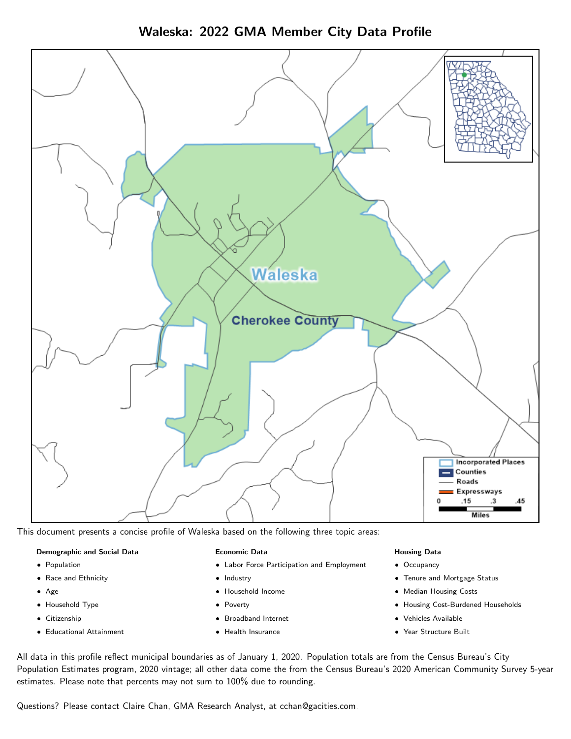Waleska: 2022 GMA Member City Data Profile



This document presents a concise profile of Waleska based on the following three topic areas:

#### Demographic and Social Data

- **•** Population
- Race and Ethnicity
- Age
- Household Type
- **Citizenship**
- Educational Attainment

#### Economic Data

- Labor Force Participation and Employment
- Industry
- Household Income
- Poverty
- Broadband Internet
- Health Insurance

#### Housing Data

- Occupancy
- Tenure and Mortgage Status
- Median Housing Costs
- Housing Cost-Burdened Households
- Vehicles Available
- Year Structure Built

All data in this profile reflect municipal boundaries as of January 1, 2020. Population totals are from the Census Bureau's City Population Estimates program, 2020 vintage; all other data come the from the Census Bureau's 2020 American Community Survey 5-year estimates. Please note that percents may not sum to 100% due to rounding.

Questions? Please contact Claire Chan, GMA Research Analyst, at [cchan@gacities.com.](mailto:cchan@gacities.com)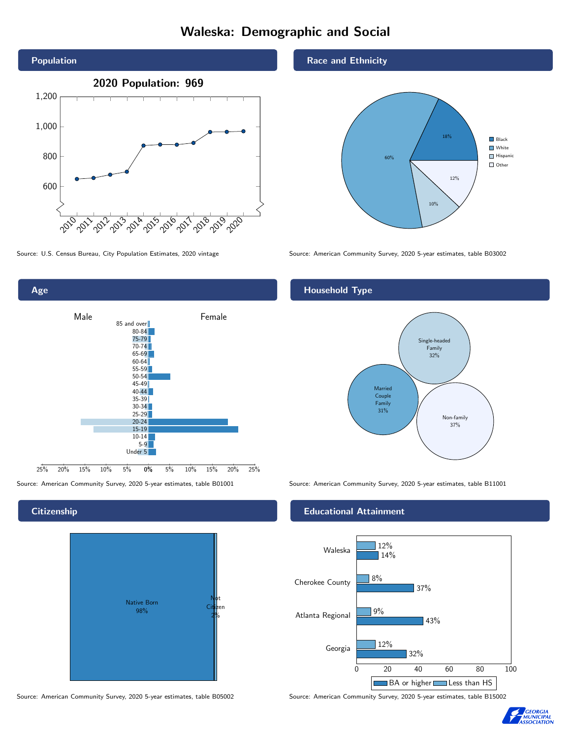# Waleska: Demographic and Social





**Citizenship** 



Source: American Community Survey, 2020 5-year estimates, table B05002 Source: American Community Survey, 2020 5-year estimates, table B15002

Race and Ethnicity



Source: U.S. Census Bureau, City Population Estimates, 2020 vintage Source: American Community Survey, 2020 5-year estimates, table B03002

## Household Type



Source: American Community Survey, 2020 5-year estimates, table B01001 Source: American Community Survey, 2020 5-year estimates, table B11001

#### Educational Attainment



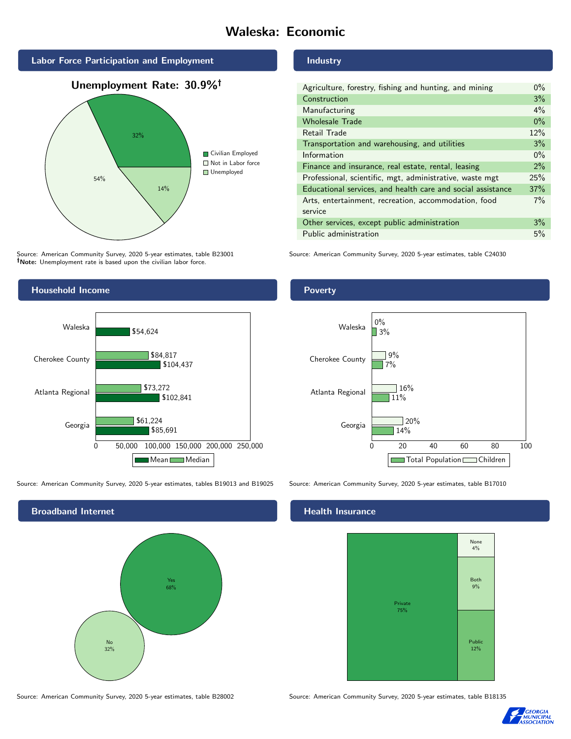# Waleska: Economic



Unemployment Rate: 30.9%



Source: American Community Survey, 2020 5-year estimates, table B23001 Note: Unemployment rate is based upon the civilian labor force.

# Household Income



Source: American Community Survey, 2020 5-year estimates, tables B19013 and B19025 Source: American Community Survey, 2020 5-year estimates, table B17010



Source: American Community Survey, 2020 5-year estimates, table B28002 Source: American Community Survey, 2020 5-year estimates, table B18135

#### Industry

| Agriculture, forestry, fishing and hunting, and mining      | $0\%$ |
|-------------------------------------------------------------|-------|
| Construction                                                | 3%    |
| Manufacturing                                               | 4%    |
| <b>Wholesale Trade</b>                                      | $0\%$ |
| Retail Trade                                                | 12%   |
| Transportation and warehousing, and utilities               | 3%    |
| Information                                                 | $0\%$ |
| Finance and insurance, real estate, rental, leasing         | 2%    |
| Professional, scientific, mgt, administrative, waste mgt    | 25%   |
| Educational services, and health care and social assistance | 37%   |
| Arts, entertainment, recreation, accommodation, food        | $7\%$ |
| service                                                     |       |
| Other services, except public administration                | 3%    |
| Public administration                                       | 5%    |

Source: American Community Survey, 2020 5-year estimates, table C24030

# Poverty



# **Health Insurance**